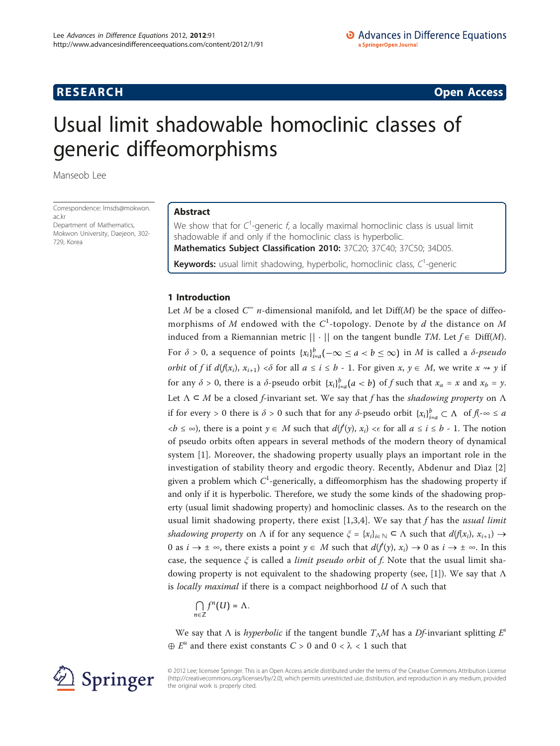# **RESEARCH CONSTRUCTION CONSTRUCTS**

# Usual limit shadowable homoclinic classes of generic diffeomorphisms

Manseob Lee

Correspondence: [lmsds@mokwon.](mailto:lmsds@mokwon.ac.kr) [ac.kr](mailto:lmsds@mokwon.ac.kr) Department of Mathematics, Mokwon University, Daejeon, 302- 729, Korea

## Abstract

We show that for  $C^1$ -generic f, a locally maximal homoclinic class is usual limit shadowable if and only if the homoclinic class is hyperbolic. Mathematics Subject Classification 2010: 37C20; 37C40; 37C50; 34D05. Keywords: usual limit shadowing, hyperbolic, homoclinic class, C<sup>1</sup>-generic

## 1 Introduction

Let M be a closed  $C^{\infty}$  *n*-dimensional manifold, and let Diff(M) be the space of diffeomorphisms of M endowed with the  $C^1$ -topology. Denote by d the distance on M induced from a Riemannian metric  $|| \cdot ||$  on the tangent bundle TM. Let  $f \in \text{Diff}(M)$ . For  $\delta > 0$ , a sequence of points  $\{x_i\}_{i=a}^b(-\infty \le a < b \le \infty)$  in M is called a  $\delta$ -pseudo *orbit* of f if  $d(f(x_i), x_{i+1}) < \delta$  for all  $a \le i \le b$  - 1. For given  $x, y \in M$ , we write  $x \rightarrow y$  if for any  $\delta > 0$ , there is a  $\delta$ -pseudo orbit  $\{x_i\}_{i=a}^b(a < b)$  of f such that  $x_a = x$  and  $x_b = y$ . Let  $\Lambda \subseteq M$  be a closed *f*-invariant set. We say that *f* has the *shadowing property* on  $\Lambda$ if for every > 0 there is  $\delta$  > 0 such that for any  $\delta$ -pseudo orbit  $\{x_i\}_{i=a}^b \subset \Lambda$  of  $f(\cdot \infty \le a$  $\langle b \leq \infty \rangle$ , there is a point  $y \in M$  such that  $d(f^i(y), x_i) \leq \epsilon$  for all  $a \leq i \leq b$  - 1. The notion of pseudo orbits often appears in several methods of the modern theory of dynamical system [[1\]](#page-6-0). Moreover, the shadowing property usually plays an important role in the investigation of stability theory and ergodic theory. Recently, Abdenur and Dìaz [\[2](#page-6-0)] given a problem which  $C^1$ -generically, a diffeomorphism has the shadowing property if and only if it is hyperbolic. Therefore, we study the some kinds of the shadowing property (usual limit shadowing property) and homoclinic classes. As to the research on the usual limit shadowing property, there exist  $[1,3,4]$  $[1,3,4]$  $[1,3,4]$  $[1,3,4]$  $[1,3,4]$ . We say that f has the *usual limit* shadowing property on  $\Lambda$  if for any sequence  $\xi = \{x_i\}_{i \in \mathbb{N}} \subset \Lambda$  such that  $d(f(x_i), x_{i+1}) \to$ 0 as  $i \to \pm \infty$ , there exists a point  $y \in M$  such that  $d(f^i(y), x_i) \to 0$  as  $i \to \pm \infty$ . In this case, the sequence  $\xi$  is called a *limit pseudo orbit* of f. Note that the usual limit sha-dowing property is not equivalent to the shadowing property (see, [\[1](#page-6-0)]). We say that  $\Lambda$ is locally maximal if there is a compact neighborhood  $U$  of  $\Lambda$  such that

$$
\bigcap_{n\in\mathbb{Z}}f^n(U)=\Lambda.
$$

We say that  $\Lambda$  is *hyperbolic* if the tangent bundle  $T_{\Lambda}M$  has a *Df*-invariant splitting  $E^s$  $\oplus E^u$  and there exist constants  $C > 0$  and  $0 < \lambda < 1$  such that



© 2012 Lee; licensee Springer. This is an Open Access article distributed under the terms of the Creative Commons Attribution License [\(http://creativecommons.org/licenses/by/2.0](http://creativecommons.org/licenses/by/2.0)), which permits unrestricted use, distribution, and reproduction in any medium, provided the original work is properly cited.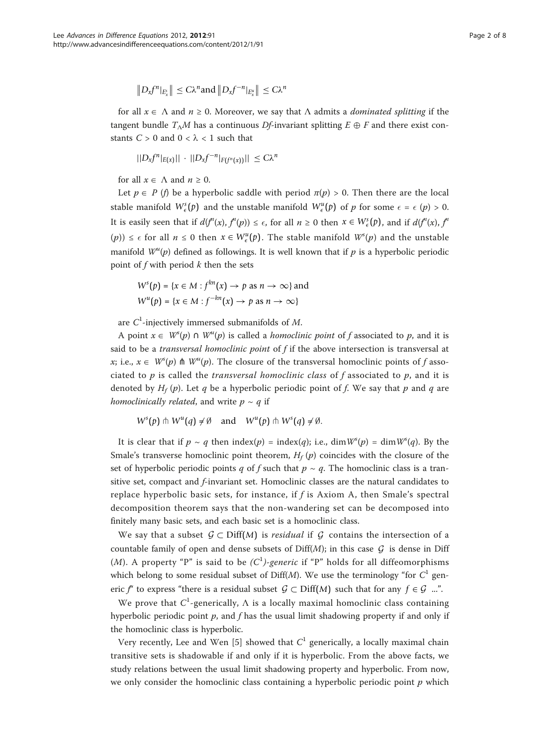$$
||D_x f^n|_{E_x}|| \leq C\lambda^n \text{and } ||D_x f^{-n}|_{E_x^u}|| \leq C\lambda^n
$$

for all  $x \in \Lambda$  and  $n \ge 0$ . Moreover, we say that  $\Lambda$  admits a *dominated splitting* if the tangent bundle  $T_\Lambda M$  has a continuous Df-invariant splitting  $E \oplus F$  and there exist constants  $C > 0$  and  $0 < \lambda < 1$  such that

$$
||D_x f^n|_{E(x)}|| \cdot ||D_x f^{-n}|_{F(f^n(x))}|| \leq C\lambda^n
$$

for all  $x \in \Lambda$  and  $n \ge 0$ .

Let  $p \in P$  (f) be a hyperbolic saddle with period  $\pi(p) > 0$ . Then there are the local stable manifold  $W_{\epsilon}^{s}(p)$  and the unstable manifold  $W_{\epsilon}^{u}(p)$  of p for some  $\epsilon = \epsilon$   $(p) > 0$ . It is easily seen that if  $d(f^{n}(x), f^{n}(p)) \leq \epsilon$ , for all  $n \geq 0$  then  $x \in W_{\epsilon}^{s}(p)$ , and if  $d(f^{n}(x), f^{n}(p))$ (p)) ≤  $\epsilon$  for all  $n \le 0$  then  $x \in W^u_{\epsilon}(\mathfrak{p})$ . The stable manifold  $W^s(\mathfrak{p})$  and the unstable manifold  $W^u(p)$  defined as followings. It is well known that if p is a hyperbolic periodic point of  $f$  with period  $k$  then the sets

$$
Ws(p) = \{x \in M : fkn(x) \to p \text{ as } n \to \infty\} \text{ and}
$$
  

$$
Wu(p) = \{x \in M : f-kn(x) \to p \text{ as } n \to \infty\}
$$

are  $C^1$ -injectively immersed submanifolds of M.

A point  $x \in W^{s}(p) \cap W^{u}(p)$  is called a *homoclinic point* of f associated to p, and it is said to be a *transversal homoclinic point* of  $f$  if the above intersection is transversal at x; i.e.,  $x \in W^{s}(p)$   $\hbar W^{u}(p)$ . The closure of the transversal homoclinic points of f associated to  $p$  is called the *transversal homoclinic class* of  $f$  associated to  $p$ , and it is denoted by  $H_f(p)$ . Let q be a hyperbolic periodic point of f. We say that p and q are homoclinically related, and write  $p \sim q$  if

$$
W^{s}(p) \pitchfork W^{u}(q) \neq \emptyset \quad \text{and} \quad W^{u}(p) \pitchfork W^{s}(q) \neq \emptyset.
$$

It is clear that if  $p \sim q$  then index $(p) = \text{index}(q)$ ; i.e.,  $\dim W^{s}(p) = \dim W^{s}(q)$ . By the Smale's transverse homoclinic point theorem,  $H_f(p)$  coincides with the closure of the set of hyperbolic periodic points q of f such that  $p \sim q$ . The homoclinic class is a transitive set, compact and f-invariant set. Homoclinic classes are the natural candidates to replace hyperbolic basic sets, for instance, if  $f$  is Axiom A, then Smale's spectral decomposition theorem says that the non-wandering set can be decomposed into finitely many basic sets, and each basic set is a homoclinic class.

We say that a subset  $\mathcal{G} \subset \text{Diff}(M)$  is *residual* if  $\mathcal{G}$  contains the intersection of a countable family of open and dense subsets of  $Diff(M)$ ; in this case  $G$  is dense in Diff (*M*). A property "P" is said to be  $(C^1)$ -generic if "P" holds for all diffeomorphisms which belong to some residual subset of Diff(M). We use the terminology "for  $C<sup>1</sup>$  generic f<sup>"</sup> to express "there is a residual subset  $G \subset \text{Diff}(M)$  such that for any  $f \in \mathcal{G}$  ...".

We prove that  $C^1$ -generically,  $\Lambda$  is a locally maximal homoclinic class containing hyperbolic periodic point  $p$ , and f has the usual limit shadowing property if and only if the homoclinic class is hyperbolic.

Very recently, Lee and Wen [[5\]](#page-7-0) showed that  $C<sup>1</sup>$  generically, a locally maximal chain transitive sets is shadowable if and only if it is hyperbolic. From the above facts, we study relations between the usual limit shadowing property and hyperbolic. From now, we only consider the homoclinic class containing a hyperbolic periodic point  $p$  which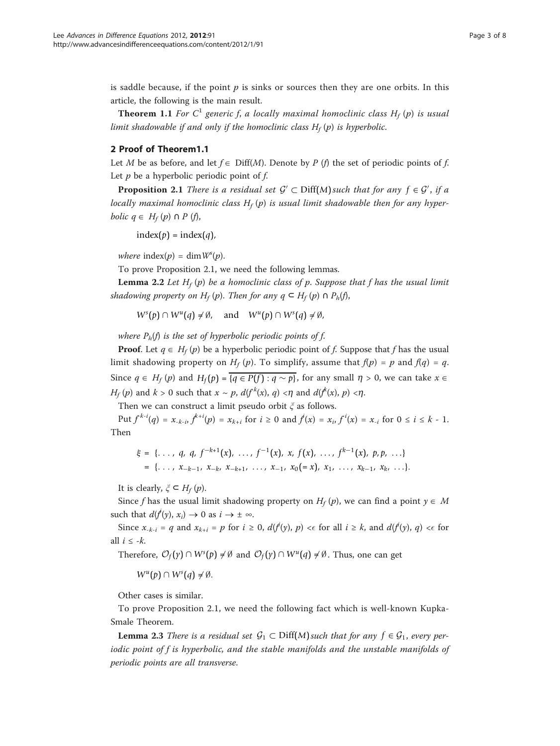is saddle because, if the point  $p$  is sinks or sources then they are one orbits. In this article, the following is the main result.

**Theorem 1.1** For  $C^1$  generic f, a locally maximal homoclinic class  $H_f(p)$  is usual limit shadowable if and only if the homoclinic class  $H_f(p)$  is hyperbolic.

## 2 Proof of Theorem1.1

Let M be as before, and let  $f \in \text{Diff}(M)$ . Denote by P (f) the set of periodic points of f. Let  $p$  be a hyperbolic periodic point of  $f$ .

**Proposition 2.1** There is a residual set  $\mathcal{G}' \subset \text{Diff}(M)$  such that for any  $f \in \mathcal{G}'$ , if a locally maximal homoclinic class  $H_f(p)$  is usual limit shadowable then for any hyper*bolic*  $q \in H_f(p) \cap P$  (*f*),

 $index(p) = index(q)$ ,

where index(p) = dim  $W^s(p)$ .

To prove Proposition 2.1, we need the following lemmas.

**Lemma 2.2** Let  $H_f(p)$  be a homoclinic class of p. Suppose that f has the usual limit shadowing property on H<sub>f</sub> (p). Then for any  $q \text{ }\subset H_f(p) \text{ } \cap \text{ } P_h(f)$ ,

 $W^{s}(p) \cap W^{u}(q) \neq \emptyset$ , and  $W^{u}(p) \cap W^{s}(q) \neq \emptyset$ ,

where  $P_h(f)$  is the set of hyperbolic periodic points of f.

**Proof.** Let  $q \in H_f(p)$  be a hyperbolic periodic point of f. Suppose that f has the usual limit shadowing property on  $H_f(p)$ . To simplify, assume that  $f(p) = p$  and  $f(q) = q$ . Since  $q \in H_f (p)$  and  $H_f (p) = {q ∈ P(f) : q ∼ p}$ , for any small  $n > 0$ , we can take  $x ∈$  $H_f(p)$  and  $k > 0$  such that  $x \sim p$ ,  $d(f^k(x), q) < \eta$  and  $d(f^k(x), p) < \eta$ .

Then we can construct a limit pseudo orbit  $\xi$  as follows.

Put  $f^{k-i}(q) = x_{k-i}, f^{k+i}(p) = x_{k+i}$  for  $i \ge 0$  and  $f^i(x) = x_i, f^{i}(x) = x_{-i}$  for  $0 \le i \le k - 1$ . Then

$$
\xi = \{\ldots, q, q, f^{-k+1}(x), \ldots, f^{-1}(x), x, f(x), \ldots, f^{k-1}(x), p, p, \ldots\} \\
= \{\ldots, x_{-k-1}, x_{-k}, x_{-k+1}, \ldots, x_{-1}, x_0 (=x), x_1, \ldots, x_{k-1}, x_k, \ldots\}.
$$

It is clearly,  $\xi \subset H_f(p)$ .

Since f has the usual limit shadowing property on  $H_f(p)$ , we can find a point  $y \in M$ such that  $d(f^i(y), x_i) \to 0$  as  $i \to \pm \infty$ .

Since  $x_{-k-i} = q$  and  $x_{k+i} = p$  for  $i \ge 0$ ,  $d(f^i(y), p) < \epsilon$  for all  $i \ge k$ , and  $d(f^i(y), q) < \epsilon$  for all  $i \leq -k$ .

Therefore,  $\mathcal{O}_f(\gamma) \cap W^s(p) \neq \emptyset$  and  $\mathcal{O}_f(\gamma) \cap W^u(q) \neq \emptyset$ . Thus, one can get

 $W^u(p) \cap W^s(q) \neq \emptyset$ .

Other cases is similar.

To prove Proposition 2.1, we need the following fact which is well-known Kupka-Smale Theorem.

**Lemma 2.3** There is a residual set  $G_1 \subset \text{Diff}(M)$  such that for any  $f \in G_1$ , every periodic point of f is hyperbolic, and the stable manifolds and the unstable manifolds of periodic points are all transverse.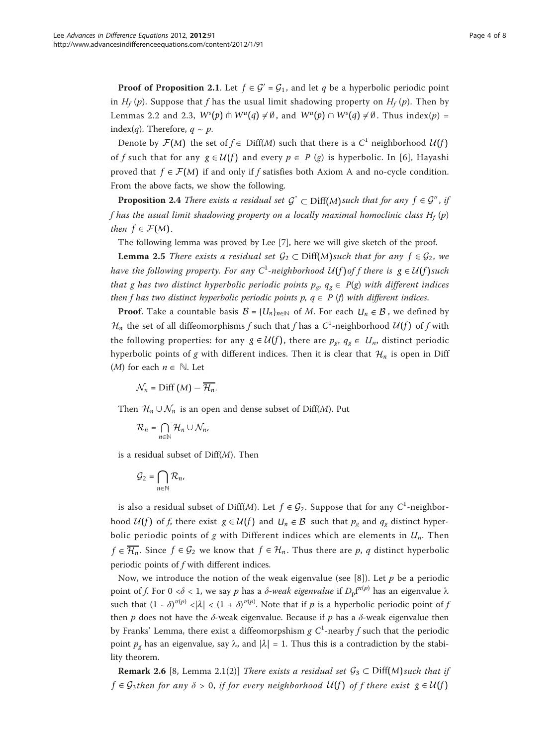**Proof of Proposition 2.1.** Let  $f \in \mathcal{G}' = \mathcal{G}_1$ , and let q be a hyperbolic periodic point in  $H_f(p)$ . Suppose that f has the usual limit shadowing property on  $H_f(p)$ . Then by Lemmas 2.2 and 2.3,  $W^s(p) \pitchfork W^u(q) \neq \emptyset$ , and  $W^u(p) \pitchfork W^s(q) \neq \emptyset$ . Thus index(*p*) = index(*q*). Therefore,  $q \sim p$ .

Denote by  $\mathcal{F}(M)$  the set of  $f \in \text{Diff}(M)$  such that there is a  $C^1$  neighborhood  $\mathcal{U}(f)$ of f such that for any  $g \in \mathcal{U}(f)$  and every  $p \in P$  (g) is hyperbolic. In [\[6\]](#page-7-0), Hayashi proved that  $f \in \mathcal{F}(M)$  if and only if f satisfies both Axiom A and no-cycle condition. From the above facts, we show the following.

**Proposition 2.4** There exists a residual set  $\mathcal{G}^{\prime} \subset \text{Diff}(M)$  such that for any  $f \in \mathcal{G}^{\prime\prime}$ , if f has the usual limit shadowing property on a locally maximal homoclinic class  $H_f(p)$ then  $f \in \mathcal{F}(M)$ .

The following lemma was proved by Lee [\[7](#page-7-0)], here we will give sketch of the proof.

**Lemma 2.5** There exists a residual set  $\mathcal{G}_2 \subset \text{Diff}(M)$  such that for any  $f \in \mathcal{G}_2$ , we have the following property. For any  $C^1$ -neighborhood  $U(f)$  of f there is  $g \in U(f)$  such that g has two distinct hyperbolic periodic points  $p_g$ ,  $q_g \in P(g)$  with different indices then f has two distinct hyperbolic periodic points  $p, q \in P$  (f) with different indices.

**Proof.** Take a countable basis  $B = \{U_n\}_{n \in \mathbb{N}}$  of M. For each  $U_n \in B$ , we defined by  $\mathcal{H}_n$  the set of all diffeomorphisms f such that f has a  $C^1$ -neighborhood  $\mathcal{U}(f)$  of f with the following properties: for any  $g \in \mathcal{U}(f)$ , there are  $p_g$ ,  $q_g \in U_n$ , distinct periodic hyperbolic points of g with different indices. Then it is clear that  $\mathcal{H}_n$  is open in Diff (*M*) for each  $n \in \mathbb{N}$ . Let

 $\mathcal{N}_n$  = Diff  $(M) - \overline{\mathcal{H}_n}$ .

Then  $\mathcal{H}_n \cup \mathcal{N}_n$  is an open and dense subset of Diff(*M*). Put

$$
\mathcal{R}_n = \bigcap_{n \in \mathbb{N}} \mathcal{H}_n \cup \mathcal{N}_n,
$$

is a residual subset of  $Diff(M)$ . Then

$$
\mathcal{G}_2 = \bigcap_{n \in \mathbb{N}} \mathcal{R}_n,
$$

is also a residual subset of Diff(*M*). Let  $f \in \mathcal{G}_2$ . Suppose that for any  $C^1$ -neighborhood  $U(f)$  of f, there exist  $g \in U(f)$  and  $U_n \in B$  such that  $p_g$  and  $q_g$  distinct hyperbolic periodic points of g with Different indices which are elements in  $U_n$ . Then *f* ∈  $\overline{\mathcal{H}_n}$ . Since *f* ∈  $\mathcal{G}_2$  we know that *f* ∈  $\mathcal{H}_n$ . Thus there are *p*, *q* distinct hyperbolic periodic points of f with different indices.

Now, we introduce the notion of the weak eigenvalue (see [[8\]](#page-7-0)). Let  $p$  be a periodic point of f. For 0 < $\delta$  < 1, we say p has a  $\delta$ -*weak eigenvalue* if  $D_{\rm p}f^{r(p)}$  has an eigenvalue  $\lambda$ such that  $(1 - \delta)^{\pi(p)} < |\lambda| < (1 + \delta)^{\pi(p)}$ . Note that if p is a hyperbolic periodic point of j then p does not have the  $\delta$ -weak eigenvalue. Because if p has a  $\delta$ -weak eigenvalue then by Franks' Lemma, there exist a diffeomorpshism g  $C^1$ -nearby f such that the periodic point  $p_g$  has an eigenvalue, say  $\lambda$ , and  $|\lambda| = 1$ . Thus this is a contradiction by the stability theorem.

**Remark 2.6** [8, Lemma 2.1(2)] There exists a residual set  $\mathcal{G}_3 \subset \text{Diff}(M)$  such that if *f* ∈ *G*<sub>3</sub>then for any  $\delta$  > 0, if for every neighborhood  $U(f)$  of f there exist  $g ∈ U(f)$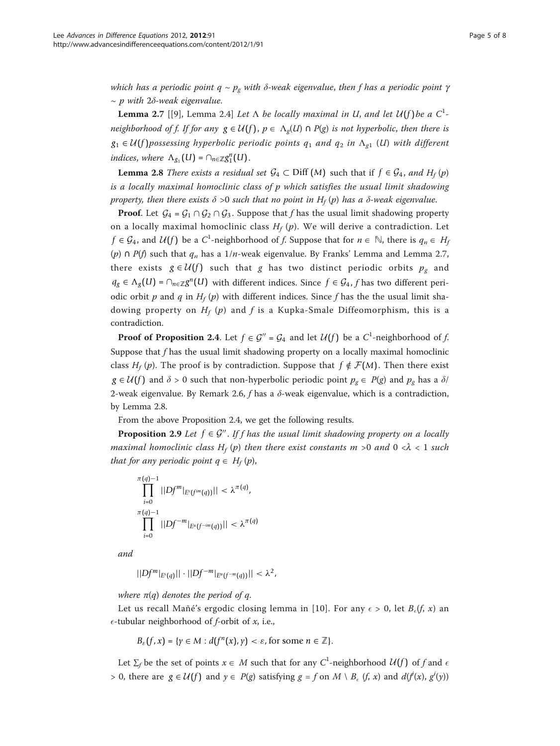which has a periodic point  $q \sim p_{g}$  with  $\delta$ -weak eigenvalue, then f has a periodic point  $\gamma$  $\sim p$  with 2 $\delta$ -weak eigenvalue.

**Lemma 2.7** [[[9\]](#page-7-0), Lemma 2.4] Let  $\Lambda$  be locally maximal in U, and let  $U(f)$  be a  $C^1$ neighborhood of f. If for any  $g \in U(f)$ ,  $p \in \Lambda_{\sigma}(U) \cap P(g)$  is not hyperbolic, then there is  $g_1 \in U(f)$  possessing hyperbolic periodic points  $q_1$  and  $q_2$  in  $\Lambda_{q_1}$  (U) with different  $indices, where \ \Delta_{g_1}(U) = \cap_{n \in \mathbb{Z}} g_1^n(U).$ 

**Lemma 2.8** There exists a residual set  $\mathcal{G}_4 \subset \text{Diff}(M)$  such that if  $f \in \mathcal{G}_4$ , and  $H_f(p)$ is a locally maximal homoclinic class of p which satisfies the usual limit shadowing property, then there exists  $\delta > 0$  such that no point in H<sub>f</sub> (p) has a  $\delta$ -weak eigenvalue.

**Proof.** Let  $\mathcal{G}_4 = \mathcal{G}_1 \cap \mathcal{G}_2 \cap \mathcal{G}_3$ . Suppose that f has the usual limit shadowing property on a locally maximal homoclinic class  $H_f(p)$ . We will derive a contradiction. Let *f* ∈  $\mathcal{G}_4$ , and  $\mathcal{U}(f)$  be a  $C^1$ -neighborhood of *f*. Suppose that for  $n \in \mathbb{N}$ , there is  $q_n \in H_j$ (p) ∩ P(f) such that  $q_n$  has a 1/n-weak eigenvalue. By Franks' Lemma and Lemma 2.7, there exists  $g \in \mathcal{U}(f)$  such that g has two distinct periodic orbits  $p_g$  and *q<sub>g</sub>* ∈  $\Lambda$ <sub>*g*</sub>(*U*) = ∩*n*∈ $\mathbb{Z}$ *g*<sup>*n*</sup>(*U*) with different indices. Since *f* ∈ *G*<sub>4</sub>, *f* has two different periodic orbit p and q in  $H_f(p)$  with different indices. Since f has the the usual limit shadowing property on  $H_f(p)$  and f is a Kupka-Smale Diffeomorphism, this is a contradiction.

**Proof of Proposition 2.4.** Let  $f \in \mathcal{G}'' = \mathcal{G}_4$  and let  $\mathcal{U}(f)$  be a  $C^1$ -neighborhood of  $f$ . Suppose that  $f$  has the usual limit shadowing property on a locally maximal homoclinic class  $H_f(p)$ . The proof is by contradiction. Suppose that  $f \notin \mathcal{F}(M)$ . Then there exist  $g \in \mathcal{U}(f)$  and  $\delta > 0$  such that non-hyperbolic periodic point  $p_g \in P(g)$  and  $p_g$  has a  $\delta$ / 2-weak eigenvalue. By Remark 2.6, f has a  $\delta$ -weak eigenvalue, which is a contradiction, by Lemma 2.8.

From the above Proposition 2.4, we get the following results.

**Proposition 2.9** Let  $f \in \mathcal{G}^n$ . If f has the usual limit shadowing property on a locally maximal homoclinic class  $H_f(p)$  then there exist constants m >0 and 0 < $\lambda$  < 1 such that for any periodic point  $q \in H_f(p)$ ,

$$
\prod_{i=0}^{\pi(q)-1}||Df^m|_{E^s(f^{im}(q))}|| < \lambda^{\pi(q)},
$$
  

$$
\prod_{i=0}^{\pi(q)-1}||Df^{-m}|_{E^u(f^{-im}(q))}|| < \lambda^{\pi(q)}
$$

and

 $||Df<sup>m</sup>|<sub>E<sup>s</sup>(a)</sub>|| ⋅ ||Df<sup>-m</sup>|<sub>E<sup>u</sup>(f<sup>-m</sup>(a))</sub>|| < ∞<sup>2</sup>,$ 

where  $\pi(q)$  denotes the period of q.

Let us recall Mañé's ergodic closing lemma in [[10\]](#page-7-0). For any  $\epsilon > 0$ , let  $B_{\epsilon}(f, x)$  an  $\epsilon$ -tubular neighborhood of *f*-orbit of *x*, i.e.,

$$
B_\varepsilon(f,x)=\{\gamma\in M: d(f^n(x),\gamma)<\varepsilon, \text{for some }n\in\mathbb{Z}\}.
$$

Let  $\Sigma_f$  be the set of points  $x \in M$  such that for any  $C^1$ -neighborhood  $\mathcal{U}(f)$  of f and  $\epsilon$ > 0, there are  $g \in U(f)$  and  $y \in P(g)$  satisfying  $g = f$  on  $M \setminus B_{\epsilon}(f, x)$  and  $d(f^{i}(x), g^{i}(y))$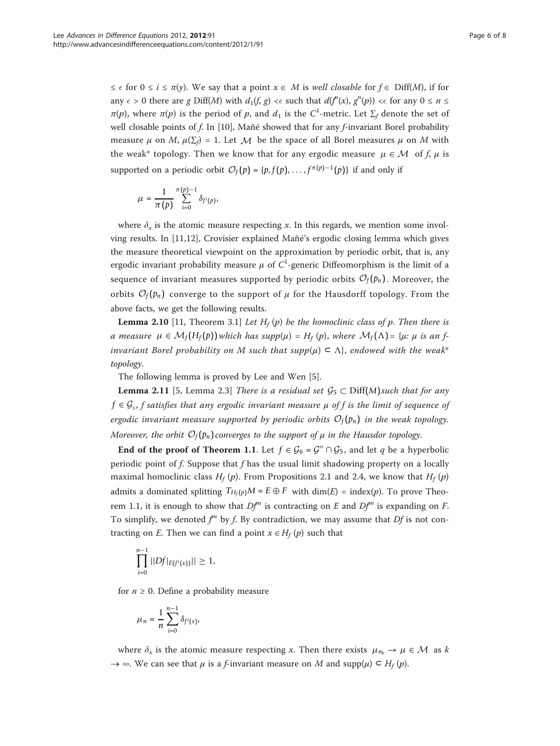$\leq \epsilon$  for  $0 \leq i \leq \pi(y)$ . We say that a point  $x \in M$  is well closable for  $f \in \text{Diff}(M)$ , if for any  $\epsilon > 0$  there are g Diff(M) with  $d_1(f, g) < \epsilon$  such that  $d(f'(x), g''(p)) < \epsilon$  for any  $0 \le n \le$  $\pi(p)$ , where  $\pi(p)$  is the period of  $p$ , and  $d_1$  is the  $C^1$ -metric. Let  $\Sigma_f$  denote the set of well closable points of f. In [[10](#page-7-0)], Mañé showed that for any f-invariant Borel probability measure  $\mu$  on M,  $\mu(\Sigma_f) = 1$ . Let M be the space of all Borel measures  $\mu$  on M with the weak\* topology. Then we know that for any ergodic measure  $\mu \in \mathcal{M}$  of f,  $\mu$  is supported on a periodic orbit  $\mathcal{O}_f(p) = \{p, f(p), \dots, f^{\pi(p)-1}(p)\}$  if and only if

$$
\mu=\frac{1}{\pi\left(p\right)}\sum_{i=0}^{\pi\left(p\right)-1}\delta_{f^{i}\left(p\right)},
$$

where  $\delta_x$  is the atomic measure respecting x. In this regards, we mention some involving results. In [\[11,12](#page-7-0)], Crovisier explained Mañé's ergodic closing lemma which gives the measure theoretical viewpoint on the approximation by periodic orbit, that is, any ergodic invariant probability measure  $\mu$  of  $C^1$ -generic Diffeomorphism is the limit of a sequence of invariant measures supported by periodic orbits  $\mathcal{O}_f(p_n)$ . Moreover, the orbits  $\mathcal{O}_f(p_n)$  converge to the support of  $\mu$  for the Hausdorff topology. From the above facts, we get the following results.

**Lemma 2.10** [11, Theorem 3.1] Let  $H_f(p)$  be the homoclinic class of p. Then there is a measure  $\mu \in \mathcal{M}_f(H_f(p))$  which has supp $(\mu) = H_f(p)$ , where  $\mathcal{M}_f(\Lambda)$  = { $\mu$ :  $\mu$  is an finvariant Borel probability on M such that  $supp(u) \subseteq \Lambda$ , endowed with the weak\* topology.

The following lemma is proved by Lee and Wen [[5\]](#page-7-0).

**Lemma 2.11** [5, Lemma 2.3] There is a residual set  $\mathcal{G}_5 \subset \text{Diff}(M)$  such that for any  $f \in \mathcal{G}_{s}$ , *f* satisfies that any ergodic invariant measure  $\mu$  of *f* is the limit of sequence of ergodic invariant measure supported by periodic orbits  $\mathcal{O}_f(p_n)$  in the weak topology. Moreover, the orbit  $\mathcal{O}_f(p_n)$  converges to the support of  $\mu$  in the Hausdor topology.

**End of the proof of Theorem 1.1.** Let  $f \in \mathcal{G}_6 = \mathcal{G}^{\prime\prime} \cap \mathcal{G}_5$ , and let q be a hyperbolic periodic point of  $f$ . Suppose that  $f$  has the usual limit shadowing property on a locally maximal homoclinic class  $H_f(p)$ . From Propositions 2.1 and 2.4, we know that  $H_f(p)$ admits a dominated splitting  $T_{H_f(p)}M = E \oplus F$  with dim(E) = index(p). To prove Theorem 1.1, it is enough to show that  $Df^m$  is contracting on E and  $Df^m$  is expanding on F. To simplify, we denoted  $f^m$  by f. By contradiction, we may assume that  $Df$  is not contracting on E. Then we can find a point  $x \in H_f (p)$  such that

$$
\prod_{i=0}^{n-1}||Df|_{E(f^{i}(x))}|| \geq 1,
$$

for  $n \geq 0$ . Define a probability measure

$$
\mu_n = \frac{1}{n} \sum_{i=0}^{n-1} \delta_{f^i(x)},
$$

where  $\delta_x$  is the atomic measure respecting x. Then there exists  $\mu_{n_k} \to \mu \in \mathcal{M}$  as k  $\rightarrow \infty$ . We can see that  $\mu$  is a *f*-invariant measure on M and supp $(\mu) \subset H_f(p)$ .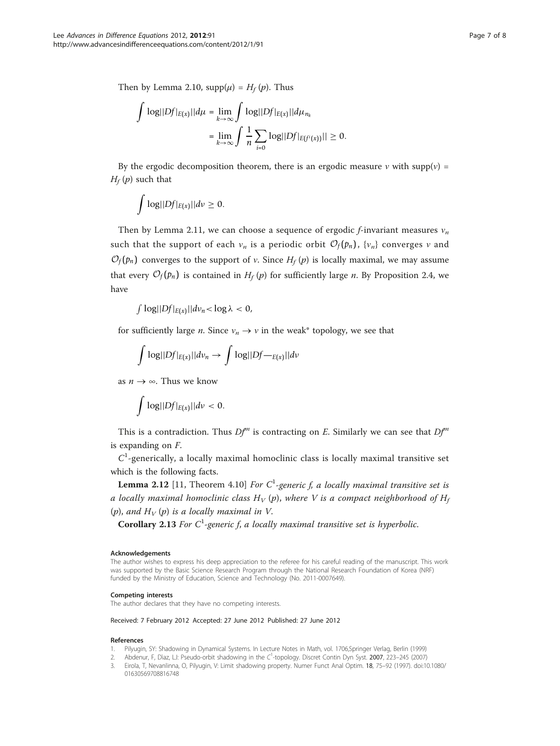<span id="page-6-0"></span>Then by Lemma 2.10,  $supp(\mu) = H_f(p)$ . Thus

$$
\int \log||Df|_{E(x)}||d\mu = \lim_{k \to \infty} \int \log||Df|_{E(x)}||d\mu_{n_k}
$$

$$
= \lim_{k \to \infty} \int \frac{1}{n} \sum_{i=0} \log||Df|_{E(f^i(x))}|| \ge 0.
$$

By the ergodic decomposition theorem, there is an ergodic measure v with supp(v) =  $H_f(p)$  such that

 log||*Df*|*E*(*x*)||*d*ν ≥ 0.

Then by Lemma 2.11, we can choose a sequence of ergodic f-invariant measures  $v_n$ such that the support of each  $v_n$  is a periodic orbit  $\mathcal{O}_f(p_n)$ ,  $\{v_n\}$  converges v and  $\mathcal{O}_f(p_n)$  converges to the support of *v*. Since  $H_f(p)$  is locally maximal, we may assume that every  $\mathcal{O}_f(p_n)$  is contained in  $H_f(p)$  for sufficiently large *n*. By Proposition 2.4, we have

 $\int$   $\log\left|\frac{Df|_{E(x)}}{H(x)}\right|d\nu_n < \log \lambda < 0$ ,

for sufficiently large *n*. Since  $v_n \to v$  in the weak\* topology, we see that

$$
\int \log\left|\left|Df\right|_{E(x)}\right| \left| dv_n \to \int \log\left|\left|Df -_{E(x)}\right| \right| dv
$$

as  $n \to \infty$ . Thus we know

$$
\int \log\lvert\lvert Df \rvert_{E(x)} \rvert \lvert dv \rvert < 0.
$$

This is a contradiction. Thus  $Df^m$  is contracting on E. Similarly we can see that  $Df^m$ is expanding on F.

 $C<sup>1</sup>$ -generically, a locally maximal homoclinic class is locally maximal transitive set which is the following facts.

**Lemma 2.12** [11, Theorem 4.10] For  $C^1$ -generic f, a locally maximal transitive set is a locally maximal homoclinic class  $H_V(p)$ , where V is a compact neighborhood of  $H_f$ (p), and  $H_V(p)$  is a locally maximal in V.

**Corollary 2.13** For  $C^1$ -generic f, a locally maximal transitive set is hyperbolic.

#### Acknowledgements

The author wishes to express his deep appreciation to the referee for his careful reading of the manuscript. This work was supported by the Basic Science Research Program through the National Research Foundation of Korea (NRF) funded by the Ministry of Education, Science and Technology (No. 2011-0007649).

#### Competing interests

The author declares that they have no competing interests.

Received: 7 February 2012 Accepted: 27 June 2012 Published: 27 June 2012

#### References

- 1. Pilyugin, SY: Shadowing in Dynamical Systems. In Lecture Notes in Math, vol. 1706,Springer Verlag, Berlin (1999)
- 2. Abdenur, F, Dìaz, LJ: Pseudo-orbit shadowing in the  $C^1$ -topology. Discret Contin Dyn Syst. 2007, 223–245 (2007)
- 3. Eirola, T, Nevanlinna, O, Pilyugin, V: Limit shadowing property. Numer Funct Anal Optim. 18, 75–92 (1997). doi:10.1080/ 01630569708816748